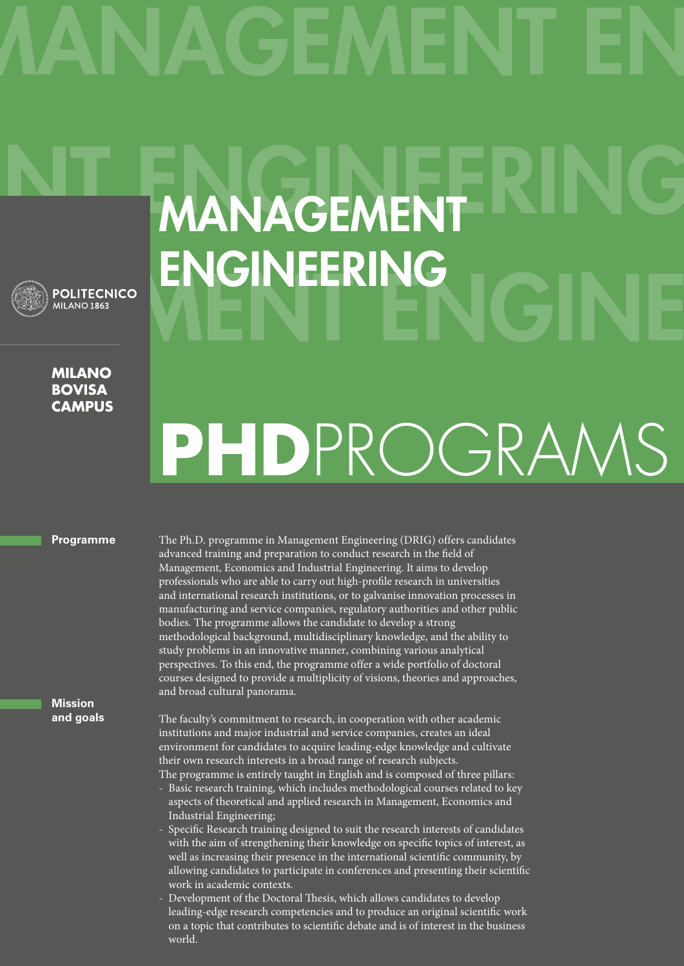

## **Milano bovisa campus**

# MANAGEMENT ENGINEERING

## **PhD**ProgramS

## **Programme**

The Ph.D. programme in Management Engineering (DRIG) offers candidates advanced training and preparation to conduct research in the field of Management, Economics and Industrial Engineering. It aims to develop professionals who are able to carry out high-profile research in universities and international research institutions, or to galvanise innovation processes in manufacturing and service companies, regulatory authorities and other public bodies. The programme allows the candidate to develop a strong methodological background, multidisciplinary knowledge, and the ability to study problems in an innovative manner, combining various analytical perspectives. To this end, the programme offer a wide portfolio of doctoral courses designed to provide a multiplicity of visions, theories and approaches, and broad cultural panorama.

**Mission and goals**

The faculty's commitment to research, in cooperation with other academic institutions and major industrial and service companies, creates an ideal environment for candidates to acquire leading-edge knowledge and cultivate their own research interests in a broad range of research subjects. The programme is entirely taught in English and is composed of three pillars:

- Basic research training, which includes methodological courses related to key aspects of theoretical and applied research in Management, Economics and Industrial Engineering;
- Specific Research training designed to suit the research interests of candidates with the aim of strengthening their knowledge on specific topics of interest, as well as increasing their presence in the international scientific community, by allowing candidates to participate in conferences and presenting their scientific work in academic contexts.
- Development of the Doctoral Thesis, which allows candidates to develop leading-edge research competencies and to produce an original scientific work on a topic that contributes to scientific debate and is of interest in the business world.